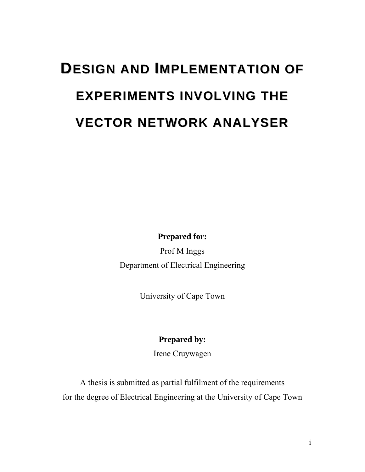# **DESIGN AND IMPLEMENTATION OF EXPERIMENTS INVOLVING THE VECTOR NETWORK ANALYSER**

**Prepared for:** 

Prof M Inggs Department of Electrical Engineering

University of Cape Town

# **Prepared by:**

Irene Cruywagen

A thesis is submitted as partial fulfilment of the requirements for the degree of Electrical Engineering at the University of Cape Town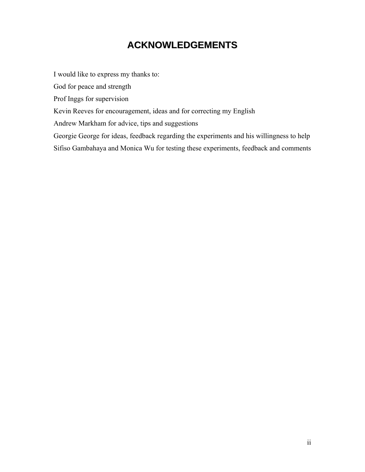# **ACKNOWLEDGEMENTS**

<span id="page-1-0"></span>I would like to express my thanks to:

God for peace and strength

Prof Inggs for supervision

Kevin Reeves for encouragement, ideas and for correcting my English

Andrew Markham for advice, tips and suggestions

Georgie George for ideas, feedback regarding the experiments and his willingness to help

Sifiso Gambahaya and Monica Wu for testing these experiments, feedback and comments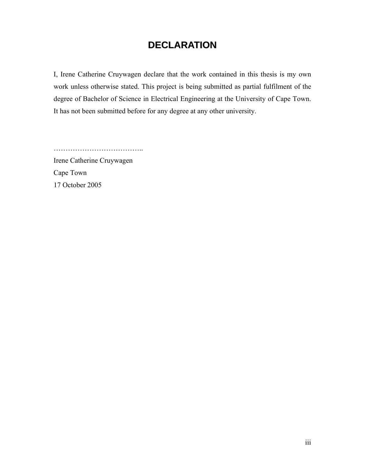# **DECLARATION**

<span id="page-2-0"></span>I, Irene Catherine Cruywagen declare that the work contained in this thesis is my own work unless otherwise stated. This project is being submitted as partial fulfilment of the degree of Bachelor of Science in Electrical Engineering at the University of Cape Town. It has not been submitted before for any degree at any other university.

………………………………………

Irene Catherine Cruywagen Cape Town 17 October 2005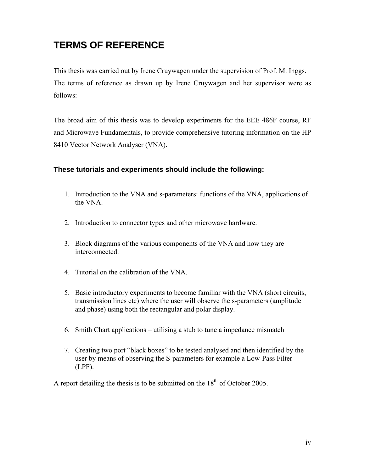# <span id="page-3-0"></span>**TERMS OF REFERENCE**

This thesis was carried out by Irene Cruywagen under the supervision of Prof. M. Inggs. The terms of reference as drawn up by Irene Cruywagen and her supervisor were as follows:

The broad aim of this thesis was to develop experiments for the EEE 486F course, RF and Microwave Fundamentals, to provide comprehensive tutoring information on the HP 8410 Vector Network Analyser (VNA).

#### **These tutorials and experiments should include the following:**

- 1. Introduction to the VNA and s-parameters: functions of the VNA, applications of the VNA.
- 2. Introduction to connector types and other microwave hardware.
- 3. Block diagrams of the various components of the VNA and how they are interconnected.
- 4. Tutorial on the calibration of the VNA.
- 5. Basic introductory experiments to become familiar with the VNA (short circuits, transmission lines etc) where the user will observe the s-parameters (amplitude and phase) using both the rectangular and polar display.
- 6. Smith Chart applications utilising a stub to tune a impedance mismatch
- 7. Creating two port "black boxes" to be tested analysed and then identified by the user by means of observing the S-parameters for example a Low-Pass Filter (LPF).

A report detailing the thesis is to be submitted on the  $18<sup>th</sup>$  of October 2005.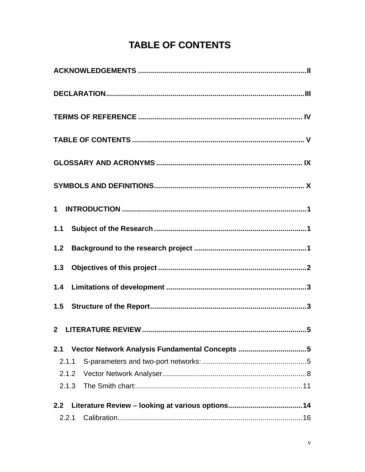# **TABLE OF CONTENTS**

<span id="page-4-0"></span>

| 2.1   | Vector Network Analysis Fundamental Concepts 5 |
|-------|------------------------------------------------|
| 2.1.1 |                                                |
| 2.1.2 |                                                |
| 2.1.3 |                                                |
| 2.2   |                                                |
| 2.2.1 |                                                |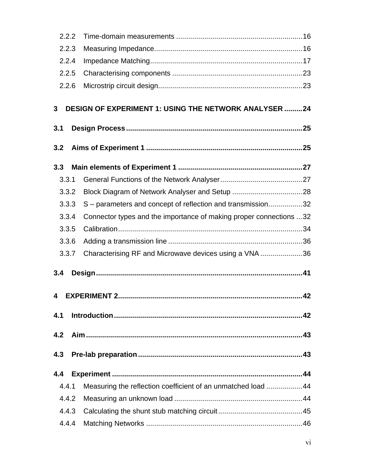| 2.2.2 |                                                                    |  |
|-------|--------------------------------------------------------------------|--|
| 2.2.3 |                                                                    |  |
| 2.2.4 |                                                                    |  |
| 2.2.5 |                                                                    |  |
| 2.2.6 |                                                                    |  |
| 3     | <b>DESIGN OF EXPERIMENT 1: USING THE NETWORK ANALYSER 24</b>       |  |
| 3.1   |                                                                    |  |
| 3.2   |                                                                    |  |
| 3.3   |                                                                    |  |
| 3.3.1 |                                                                    |  |
| 3.3.2 |                                                                    |  |
| 3.3.3 | S - parameters and concept of reflection and transmission32        |  |
| 3.3.4 | Connector types and the importance of making proper connections 32 |  |
| 3.3.5 |                                                                    |  |
| 3.3.6 |                                                                    |  |
| 3.3.7 | Characterising RF and Microwave devices using a VNA 36             |  |
| 3.4   |                                                                    |  |
| 4     |                                                                    |  |
| 4.1   |                                                                    |  |
| 4.2   |                                                                    |  |
| 4.3   |                                                                    |  |
| 4.4   |                                                                    |  |
| 4.4.1 | Measuring the reflection coefficient of an unmatched load  44      |  |
| 4.4.2 |                                                                    |  |
| 4.4.3 |                                                                    |  |
| 4.4.4 |                                                                    |  |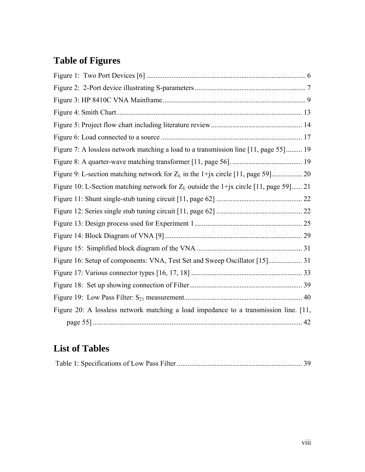# **Table of Figures**

| Figure 7: A lossless network matching a load to a transmission line [11, page 55] 19     |  |
|------------------------------------------------------------------------------------------|--|
|                                                                                          |  |
| Figure 9: L-section matching network for $Z_L$ in the 1+jx circle [11, page 59] 20       |  |
| Figure 10: L-Section matching network for $Z_L$ outside the 1+jx circle [11, page 59] 21 |  |
|                                                                                          |  |
|                                                                                          |  |
|                                                                                          |  |
|                                                                                          |  |
|                                                                                          |  |
|                                                                                          |  |
|                                                                                          |  |
|                                                                                          |  |
|                                                                                          |  |
| Figure 20: A lossless network matching a load impedance to a transmission line. [11,     |  |
|                                                                                          |  |

# **List of Tables**

|--|--|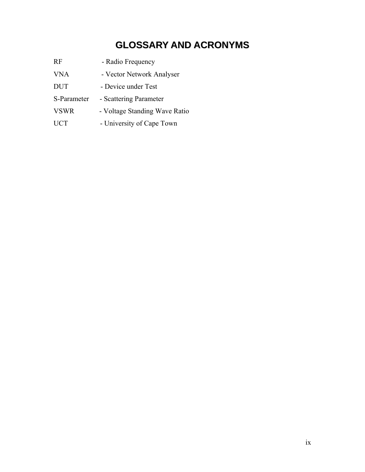# **GLOSSARY AND ACRONYMS**

<span id="page-8-0"></span>

| RF          | - Radio Frequency             |
|-------------|-------------------------------|
| <b>VNA</b>  | - Vector Network Analyser     |
| <b>DUT</b>  | - Device under Test           |
| S-Parameter | - Scattering Parameter        |
| <b>VSWR</b> | - Voltage Standing Wave Ratio |
| <b>UCT</b>  | - University of Cape Town     |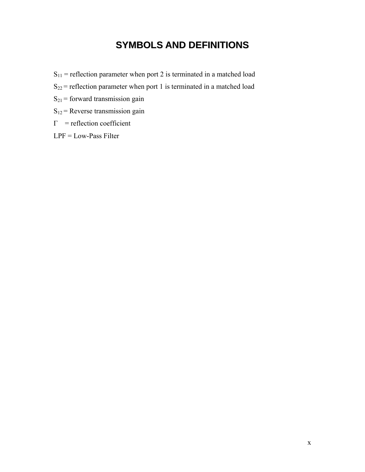# **SYMBOLS AND DEFINITIONS**

- <span id="page-9-0"></span> $S_{11}$  = reflection parameter when port 2 is terminated in a matched load
- $S_{22}$  = reflection parameter when port 1 is terminated in a matched load
- $S_{21}$  = forward transmission gain
- $S_{12}$  = Reverse transmission gain
- $\Gamma$  = reflection coefficient
- LPF = Low-Pass Filter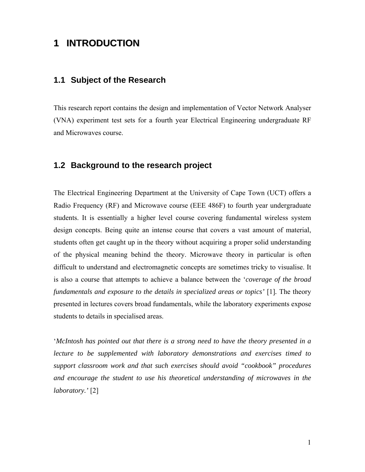# <span id="page-10-0"></span>**1 INTRODUCTION**

### **1.1 Subject of the Research**

This research report contains the design and implementation of Vector Network Analyser (VNA) experiment test sets for a fourth year Electrical Engineering undergraduate RF and Microwaves course.

### <span id="page-10-3"></span>**1.2 Background to the research project**

The Electrical Engineering Department at the University of Cape Town (UCT) offers a Radio Frequency (RF) and Microwave course (EEE 486F) to fourth year undergraduate students. It is essentially a higher level course covering fundamental wireless system design concepts. Being quite an intense course that covers a vast amount of material, students often get caught up in the theory without acquiring a proper solid understanding of the physical meaning behind the theory. Microwave theory in particular is often difficult to understand and electromagnetic concepts are sometimes tricky to visualise. It is also a course that attempts to achieve a balance between the '*coverage of the broad fundamentals and exposure to the details in specialized areas or topics'* [[1\]](#page-64-0)*.* The theory presented in lectures covers broad fundamentals, while the laboratory experiments expose students to details in specialised areas.

<span id="page-10-2"></span><span id="page-10-1"></span>'*McIntosh has pointed out that there is a strong need to have the theory presented in a lecture to be supplemented with laboratory demonstrations and exercises timed to support classroom work and that such exercises should avoid "cookbook" procedures and encourage the student to use his theoretical understanding of microwaves in the laboratory.'* [\[2\]](#page-64-1)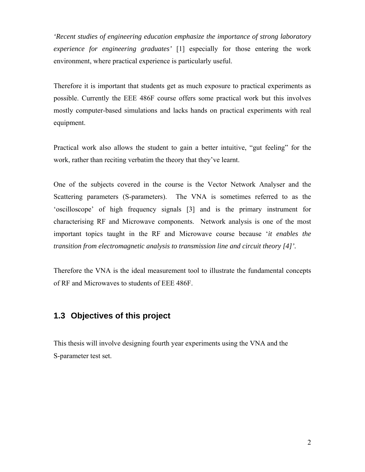<span id="page-11-0"></span>*'Recent studies of engineering education emphasize the importance of strong laboratory experience for engineering graduates'* [\[1\]](#page-10-1) especially for those entering the work environment, where practical experience is particularly useful.

Therefore it is important that students get as much exposure to practical experiments as possible. Currently the EEE 486F course offers some practical work but this involves mostly computer-based simulations and lacks hands on practical experiments with real equipment.

Practical work also allows the student to gain a better intuitive, "gut feeling" for the work, rather than reciting verbatim the theory that they've learnt.

<span id="page-11-1"></span>One of the subjects covered in the course is the Vector Network Analyser and the Scattering parameters (S-parameters). The VNA is sometimes referred to as the 'oscilloscope' of high frequency signals [\[3\]](#page-64-2) and is the primary instrument for characterising RF and Microwave components. Network analysis is one of the most important topics taught in the RF and Microwave course because '*it enables the transition from electromagnetic analysis to transmission line and circuit theory [\[4\]](#page-64-3)'.*

<span id="page-11-2"></span>Therefore the VNA is the ideal measurement tool to illustrate the fundamental concepts of RF and Microwaves to students of EEE 486F.

# **1.3 Objectives of this project**

This thesis will involve designing fourth year experiments using the VNA and the S-parameter test set.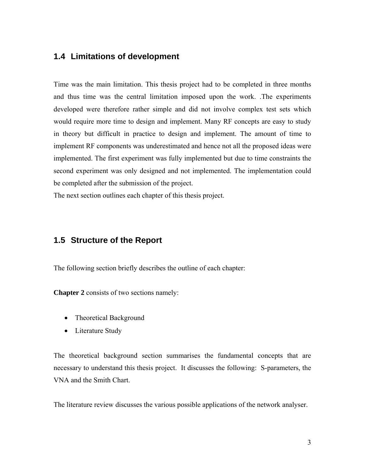### <span id="page-12-0"></span>**1.4 Limitations of development**

Time was the main limitation. This thesis project had to be completed in three months and thus time was the central limitation imposed upon the work. .The experiments developed were therefore rather simple and did not involve complex test sets which would require more time to design and implement. Many RF concepts are easy to study in theory but difficult in practice to design and implement. The amount of time to implement RF components was underestimated and hence not all the proposed ideas were implemented. The first experiment was fully implemented but due to time constraints the second experiment was only designed and not implemented. The implementation could be completed after the submission of the project.

The next section outlines each chapter of this thesis project.

### **1.5 Structure of the Report**

The following section briefly describes the outline of each chapter:

**Chapter 2** consists of two sections namely:

- Theoretical Background
- Literature Study

The theoretical background section summarises the fundamental concepts that are necessary to understand this thesis project. It discusses the following: S-parameters, the VNA and the Smith Chart.

The literature review discusses the various possible applications of the network analyser.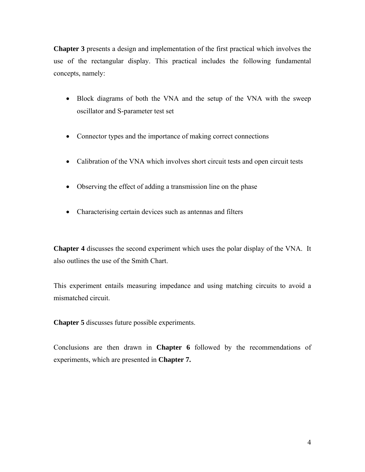**Chapter 3** presents a design and implementation of the first practical which involves the use of the rectangular display. This practical includes the following fundamental concepts, namely:

- Block diagrams of both the VNA and the setup of the VNA with the sweep oscillator and S-parameter test set
- Connector types and the importance of making correct connections
- Calibration of the VNA which involves short circuit tests and open circuit tests
- Observing the effect of adding a transmission line on the phase
- Characterising certain devices such as antennas and filters

**Chapter 4** discusses the second experiment which uses the polar display of the VNA. It also outlines the use of the Smith Chart.

This experiment entails measuring impedance and using matching circuits to avoid a mismatched circuit.

**Chapter 5** discusses future possible experiments.

Conclusions are then drawn in **Chapter 6** followed by the recommendations of experiments, which are presented in **Chapter 7.**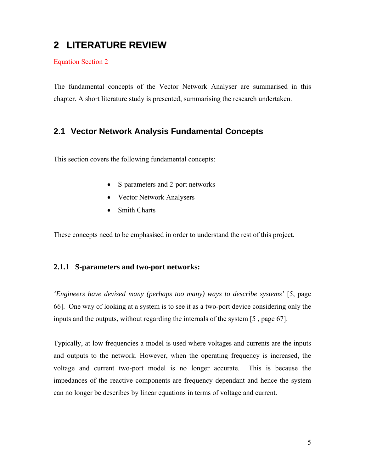# <span id="page-14-0"></span>**2 LITERATURE REVIEW**

Equation Section 2

The fundamental concepts of the Vector Network Analyser are summarised in this chapter. A short literature study is presented, summarising the research undertaken.

### **2.1 Vector Network Analysis Fundamental Concepts**

This section covers the following fundamental concepts:

- S-parameters and 2-port networks
- Vector Network Analysers
- <span id="page-14-1"></span>• Smith Charts

These concepts need to be emphasised in order to understand the rest of this project.

#### **2.1.1 S-parameters and two-port networks:**

*'Engineers have devised many (perhaps too many) ways to describe systems'* [[5,](#page-64-4) page 66]. One way of looking at a system is to see it as a two-port device considering only the inputs and the outputs, without regarding the internals of the system [\[5](#page-14-1) , page 67].

Typically, at low frequencies a model is used where voltages and currents are the inputs and outputs to the network. However, when the operating frequency is increased, the voltage and current two-port model is no longer accurate. This is because the impedances of the reactive components are frequency dependant and hence the system can no longer be describes by linear equations in terms of voltage and current.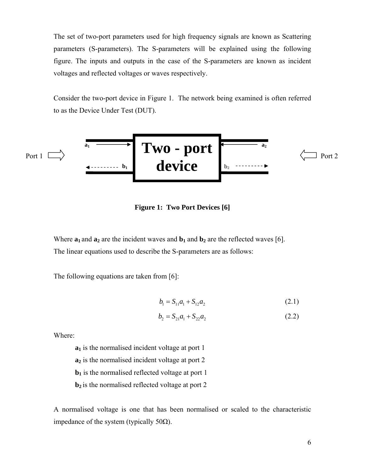<span id="page-15-0"></span>The set of two-port parameters used for high frequency signals are known as Scattering parameters (S-parameters). The S-parameters will be explained using the following figure. The inputs and outputs in the case of the S-parameters are known as incident voltages and reflected voltages or waves respectively.

Consider the two-port device in [Figure 1.](#page-15-1) The network being examined is often referred to as the Device Under Test (DUT).



<span id="page-15-1"></span>**Figure 1: Two Port Devices [[6\]](#page-15-2)** 

Where  $\mathbf{a}_1$  and  $\mathbf{a}_2$  are the incident waves and  $\mathbf{b}_1$  and  $\mathbf{b}_2$  are the reflected waves [[6\]](#page-64-5). The linear equations used to describe the S-parameters are as follows:

The following equations are taken from [\[6\]](#page-15-2):

<span id="page-15-2"></span>
$$
b_1 = S_{11}a_1 + S_{12}a_2 \tag{2.1}
$$

$$
b_2 = S_{21}a_1 + S_{22}a_2 \tag{2.2}
$$

Where:

**a**<sub>1</sub> is the normalised incident voltage at port 1 **a**<sub>2</sub> is the normalised incident voltage at port 2  **is the normalised reflected voltage at port 1 b**<sub>2</sub> is the normalised reflected voltage at port 2

A normalised voltage is one that has been normalised or scaled to the characteristic impedance of the system (typically 50Ω).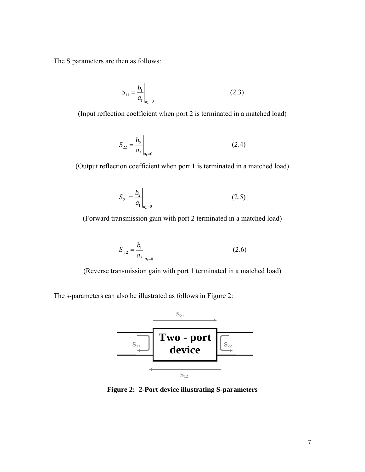<span id="page-16-0"></span>The S parameters are then as follows:

$$
S_{11} = \frac{b_1}{a_1}\bigg|_{a_2=0} \tag{2.3}
$$

(Input reflection coefficient when port 2 is terminated in a matched load)

$$
S_{22} = \frac{b_2}{a_2}\bigg|_{a_1=0} \tag{2.4}
$$

(Output reflection coefficient when port 1 is terminated in a matched load)

$$
S_{21} = \frac{b_2}{a_1}\bigg|_{a_2=0} \tag{2.5}
$$

(Forward transmission gain with port 2 terminated in a matched load)

$$
S_{12} = \frac{b_1}{a_2}\bigg|_{a_1=0} \tag{2.6}
$$

(Reverse transmission gain with port 1 terminated in a matched load)

The s-parameters can also be illustrated as follows in [Figure 2:](#page-16-1)

 $\overline{1}$ 



<span id="page-16-1"></span>**Figure 2: 2-Port device illustrating S-parameters**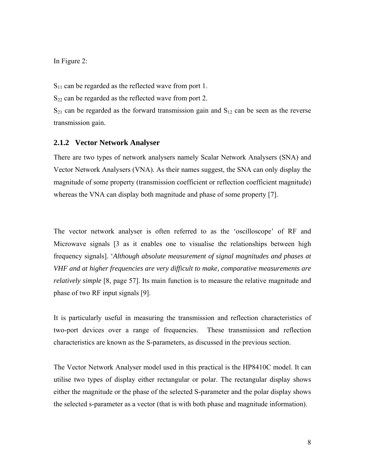<span id="page-17-0"></span>In [Figure 2:](#page-16-1)

 $S_{11}$  can be regarded as the reflected wave from port 1.

 $S_{22}$  can be regarded as the reflected wave from port 2.

 $S_{21}$  can be regarded as the forward transmission gain and  $S_{12}$  can be seen as the reverse transmission gain.

#### <span id="page-17-2"></span>**2.1.2 Vector Network Analyser**

<span id="page-17-3"></span>There are two types of network analysers namely Scalar Network Analysers (SNA) and Vector Network Analysers (VNA). As their names suggest, the SNA can only display the magnitude of some property (transmission coefficient or reflection coefficient magnitude) whereas the VNA can display both magnitude and phase of some property [[7\]](#page-64-6).

The vector network analyser is often referred to as the 'oscilloscope' of RF and Microwave signals [\[3](#page-11-1) as it enables one to visualise the relationships between high frequency signals]. '*Although absolute measurement of signal magnitudes and phases at VHF and at higher frequencies are very difficult to make, comparative measurements are relatively simple* [[8,](#page-64-7) page 57]. Its main function is to measure the relative magnitude and phase of two RF input signals [\[9\]](#page-64-8).

<span id="page-17-4"></span><span id="page-17-1"></span>It is particularly useful in measuring the transmission and reflection characteristics of two-port devices over a range of frequencies. These transmission and reflection characteristics are known as the S-parameters, as discussed in the previous section.

The Vector Network Analyser model used in this practical is the HP8410C model. It can utilise two types of display either rectangular or polar. The rectangular display shows either the magnitude or the phase of the selected S-parameter and the polar display shows the selected s-parameter as a vector (that is with both phase and magnitude information).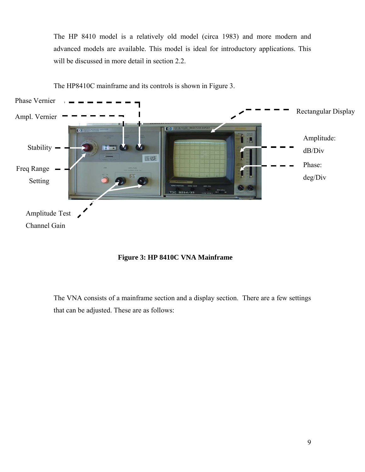<span id="page-18-0"></span>The HP 8410 model is a relatively old model (circa 1983) and more modern and advanced models are available. This model is ideal for introductory applications. This will be discussed in more detail in section [2.2.](#page-23-1)



The HP8410C mainframe and its controls is shown in [Figure 3.](#page-18-1)

<span id="page-18-1"></span>

The VNA consists of a mainframe section and a display section. There are a few settings that can be adjusted. These are as follows: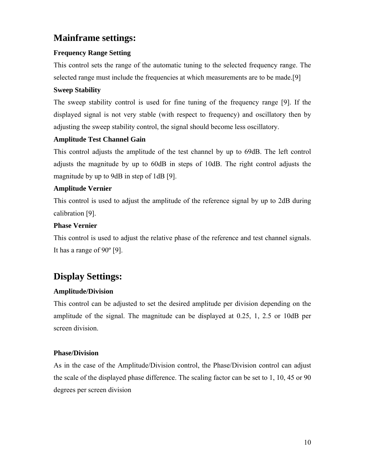# **Mainframe settings:**

#### **Frequency Range Setting**

This control sets the range of the automatic tuning to the selected frequency range. The selected range must include the frequencies at which measurements are to be made.[\[9\]](#page-17-1)

#### **Sweep Stability**

The sweep stability control is used for fine tuning of the frequency range [[9\]](#page-17-1). If the displayed signal is not very stable (with respect to frequency) and oscillatory then by adjusting the sweep stability control, the signal should become less oscillatory.

#### **Amplitude Test Channel Gain**

This control adjusts the amplitude of the test channel by up to 69dB. The left control adjusts the magnitude by up to 60dB in steps of 10dB. The right control adjusts the magnitude by up to 9dB in step of 1dB [\[9\]](#page-17-1).

#### **Amplitude Vernier**

This control is used to adjust the amplitude of the reference signal by up to 2dB during calibration [\[9\]](#page-17-1).

#### **Phase Vernier**

This control is used to adjust the relative phase of the reference and test channel signals. It has a range of 90º [\[9\]](#page-17-1).

# **Display Settings:**

#### **Amplitude/Division**

This control can be adjusted to set the desired amplitude per division depending on the amplitude of the signal. The magnitude can be displayed at  $0.25$ , 1, 2.5 or 10dB per screen division.

#### **Phase/Division**

As in the case of the Amplitude/Division control, the Phase/Division control can adjust the scale of the displayed phase difference. The scaling factor can be set to 1, 10, 45 or 90 degrees per screen division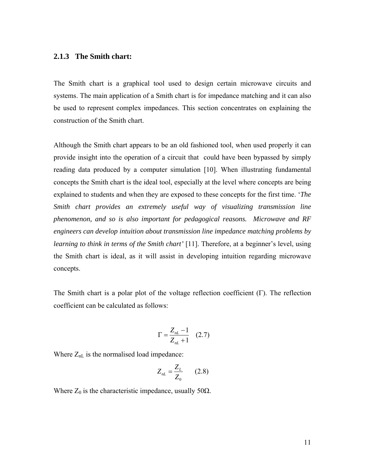#### <span id="page-20-0"></span>**2.1.3 The Smith chart:**

The Smith chart is a graphical tool used to design certain microwave circuits and systems. The main application of a Smith chart is for impedance matching and it can also be used to represent complex impedances. This section concentrates on explaining the construction of the Smith chart.

Although the Smith chart appears to be an old fashioned tool, when used properly it can provide insight into the operation of a circuit that could have been bypassed by simply reading data produced by a computer simulation [[10\]](#page-64-9). When illustrating fundamental concepts the Smith chart is the ideal tool, especially at the level where concepts are being explained to students and when they are exposed to these concepts for the first time. '*The Smith chart provides an extremely useful way of visualizing transmission line phenomenon, and so is also important for pedagogical reasons. Microwave and RF engineers can develop intuition about transmission line impedance matching problems by learning to think in terms of the Smith chart'* [[11\]](#page-64-10). Therefore, at a beginner's level, using the Smith chart is ideal, as it will assist in developing intuition regarding microwave concepts.

The Smith chart is a polar plot of the voltage reflection coefficient (Γ). The reflection coefficient can be calculated as follows:

<span id="page-20-1"></span>
$$
\Gamma = \frac{Z_{nL} - 1}{Z_{nL} + 1} \quad (2.7)
$$

Where  $Z_{nL}$  is the normalised load impedance:

$$
Z_{nL} = \frac{Z_L}{Z_0} \qquad (2.8)
$$

Where  $Z_0$  is the characteristic impedance, usually 50 $\Omega$ .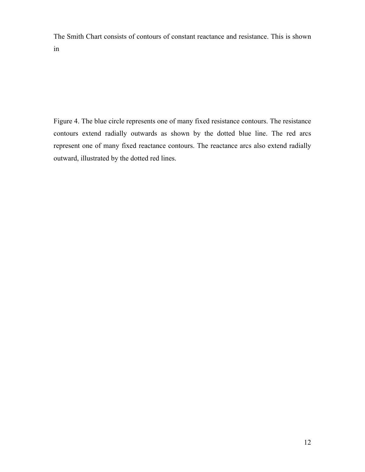The Smith Chart consists of contours of constant reactance and resistance. This is shown in

[Figure 4](#page-22-1). The blue circle represents one of many fixed resistance contours. The resistance contours extend radially outwards as shown by the dotted blue line. The red arcs represent one of many fixed reactance contours. The reactance arcs also extend radially outward, illustrated by the dotted red lines.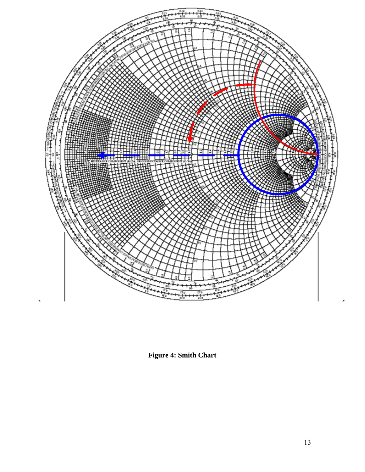<span id="page-22-0"></span>

<span id="page-22-1"></span>**Figure 4: Smith Chart**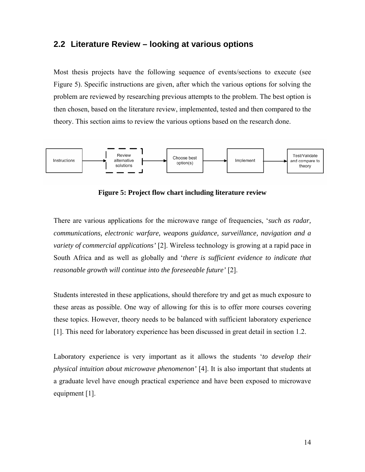### <span id="page-23-1"></span><span id="page-23-0"></span>**2.2 Literature Review – looking at various options**

Most thesis projects have the following sequence of events/sections to execute (see Figure 5). Specific instructions are given, after which the various options for solving the problem are reviewed by researching previous attempts to the problem. The best option is then chosen, based on the literature review, implemented, tested and then compared to the theory. This section aims to review the various options based on the research done.



**Figure 5: Project flow chart including literature review**

There are various applications for the microwave range of frequencies, '*such as radar, communications, electronic warfare, weapons guidance, surveillance, navigation and a variety of commercial applications'* [\[2\]](#page-10-2). Wireless technology is growing at a rapid pace in South Africa and as well as globally and '*there is sufficient evidence to indicate that reasonable growth will continue into the foreseeable future'* [\[2\]](#page-10-2).

Students interested in these applications, should therefore try and get as much exposure to these areas as possible. One way of allowing for this is to offer more courses covering these topics. However, theory needs to be balanced with sufficient laboratory experience [[1\]](#page-10-1). This need for laboratory experience has been discussed in great detail in section [1.2.](#page-10-3)

Laboratory experience is very important as it allows the students '*to develop their physical intuition about microwave phenomenon'* [[4\]](#page-11-2). It is also important that students at a graduate level have enough practical experience and have been exposed to microwave equipment [\[1\]](#page-10-1).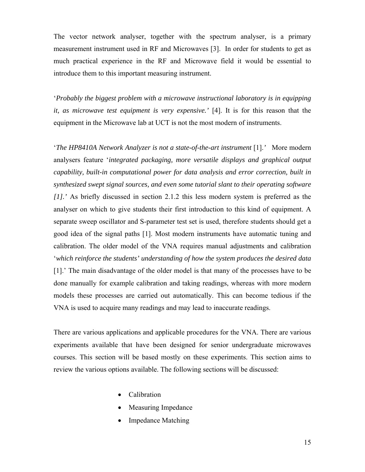The vector network analyser, together with the spectrum analyser, is a primary measurement instrument used in RF and Microwaves [\[3\]](#page-11-1). In order for students to get as much practical experience in the RF and Microwave field it would be essential to introduce them to this important measuring instrument.

'*Probably the biggest problem with a microwave instructional laboratory is in equipping it, as microwave test equipment is very expensive.'* [\[4\]](#page-11-2). It is for this reason that the equipment in the Microwave lab at UCT is not the most modern of instruments.

'*The HP8410A Network Analyzer is not a state-of-the-art instrument* [\[1\]](#page-10-1).*'* More modern analysers feature '*integrated packaging, more versatile displays and graphical output capability, built-in computational power for data analysis and error correction, built in synthesized swept signal sources, and even some tutorial slant to their operating software [[1\]](#page-10-1).'* As briefly discussed in section [2.1.2](#page-17-2) this less modern system is preferred as the analyser on which to give students their first introduction to this kind of equipment. A separate sweep oscillator and S-parameter test set is used, therefore students should get a good idea of the signal paths [\[1\]](#page-10-1). Most modern instruments have automatic tuning and calibration. The older model of the VNA requires manual adjustments and calibration '*which reinforce the students' understanding of how the system produces the desired data* [[1\]](#page-10-1).' The main disadvantage of the older model is that many of the processes have to be done manually for example calibration and taking readings, whereas with more modern models these processes are carried out automatically. This can become tedious if the VNA is used to acquire many readings and may lead to inaccurate readings.

There are various applications and applicable procedures for the VNA. There are various experiments available that have been designed for senior undergraduate microwaves courses. This section will be based mostly on these experiments. This section aims to review the various options available. The following sections will be discussed:

- Calibration
- Measuring Impedance
- Impedance Matching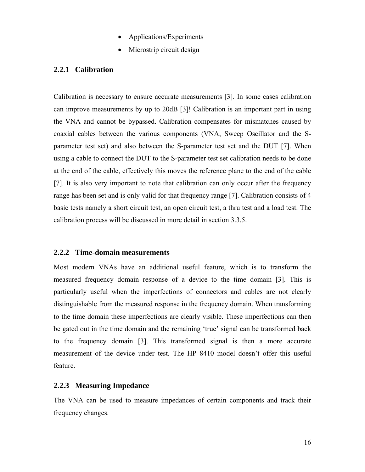- Applications/Experiments
- Microstrip circuit design

#### <span id="page-25-0"></span>**2.2.1 Calibration**

Calibration is necessary to ensure accurate measurements [\[3\]](#page-11-1). In some cases calibration can improve measurements by up to 20dB [\[3\]](#page-11-1)! Calibration is an important part in using the VNA and cannot be bypassed. Calibration compensates for mismatches caused by coaxial cables between the various components (VNA, Sweep Oscillator and the Sparameter test set) and also between the S-parameter test set and the DUT [\[7\]](#page-17-3). When using a cable to connect the DUT to the S-parameter test set calibration needs to be done at the end of the cable, effectively this moves the reference plane to the end of the cable [[7\]](#page-17-3). It is also very important to note that calibration can only occur after the frequency range has been set and is only valid for that frequency range [\[7\]](#page-17-3). Calibration consists of 4 basic tests namely a short circuit test, an open circuit test, a thru test and a load test. The calibration process will be discussed in more detail in section [3.3.5.](#page-43-1)

#### **2.2.2 Time-domain measurements**

Most modern VNAs have an additional useful feature, which is to transform the measured frequency domain response of a device to the time domain [\[3\]](#page-11-1). This is particularly useful when the imperfections of connectors and cables are not clearly distinguishable from the measured response in the frequency domain. When transforming to the time domain these imperfections are clearly visible. These imperfections can then be gated out in the time domain and the remaining 'true' signal can be transformed back to the frequency domain [\[3\]](#page-11-1). This transformed signal is then a more accurate measurement of the device under test. The HP 8410 model doesn't offer this useful feature.

#### **2.2.3 Measuring Impedance**

The VNA can be used to measure impedances of certain components and track their frequency changes.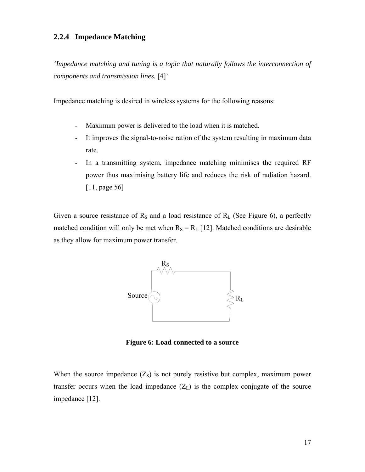#### <span id="page-26-3"></span><span id="page-26-0"></span>**2.2.4 Impedance Matching**

*'Impedance matching and tuning is a topic that naturally follows the interconnection of components and transmission lines.* [\[4\]](#page-11-2)'

Impedance matching is desired in wireless systems for the following reasons:

- Maximum power is delivered to the load when it is matched.
- It improves the signal-to-noise ration of the system resulting in maximum data rate.
- In a transmitting system, impedance matching minimises the required RF power thus maximising battery life and reduces the risk of radiation hazard. [[11,](#page-20-1) page 56]

Given a source resistance of  $R<sub>S</sub>$  and a load resistance of  $R<sub>L</sub>$  (See [Figure 6\)](#page-26-1), a perfectly matched condition will only be met when  $R_S = R_L$  [[12\]](#page-64-11). Matched conditions are desirable as they allow for maximum power transfer.

<span id="page-26-2"></span>

<span id="page-26-1"></span>**Figure 6: Load connected to a source** 

When the source impedance  $(Z<sub>S</sub>)$  is not purely resistive but complex, maximum power transfer occurs when the load impedance  $(Z_L)$  is the complex conjugate of the source impedance [[12\]](#page-26-2).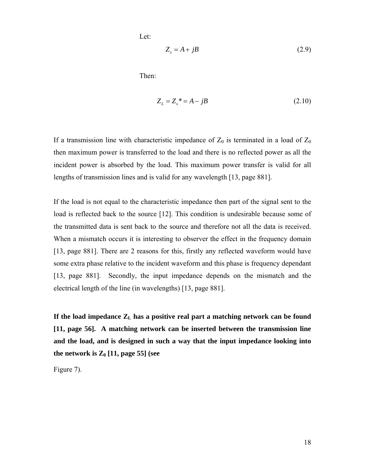Let:

$$
Z_s = A + jB \tag{2.9}
$$

<span id="page-27-0"></span>Then:

$$
Z_L = Z_s^* = A - jB \tag{2.10}
$$

If a transmission line with characteristic impedance of  $Z_0$  is terminated in a load of  $Z_0$ then maximum power is transferred to the load and there is no reflected power as all the incident power is absorbed by the load. This maximum power transfer is valid for all lengths of transmission lines and is valid for any wavelength [[13,](#page-64-4) page 881].

If the load is not equal to the characteristic impedance then part of the signal sent to the load is reflected back to the source [\[12\]](#page-26-2). This condition is undesirable because some of the transmitted data is sent back to the source and therefore not all the data is received. When a mismatch occurs it is interesting to observer the effect in the frequency domain [[13,](#page-27-0) page 881]. There are 2 reasons for this, firstly any reflected waveform would have some extra phase relative to the incident waveform and this phase is frequency dependant [[13,](#page-27-0) page 881]. Secondly, the input impedance depends on the mismatch and the electrical length of the line (in wavelengths) [\[13,](#page-27-0) page 881].

If the load impedance  $Z_L$  has a positive real part a matching network can be found **[[11,](#page-20-1) page 56]. A matching network can be inserted between the transmission line and the load, and is designed in such a way that the input impedance looking into**  the network is  $Z_0$  [[11,](#page-20-1) page 55] (see

[Figure 7](#page-28-1)).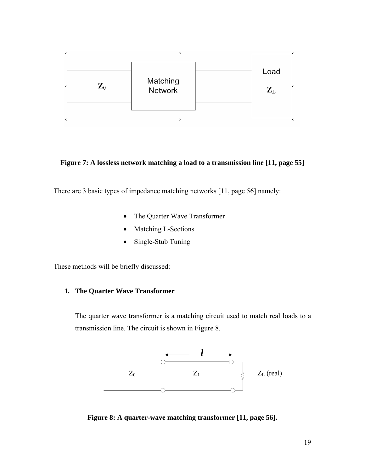<span id="page-28-0"></span>

<span id="page-28-1"></span>**Figure 7: A lossless network matching a load to a transmission line [\[11,](#page-20-1) page 55]** 

There are 3 basic types of impedance matching networks [\[11,](#page-20-1) page 56] namely:

- The Quarter Wave Transformer
- Matching L-Sections
- Single-Stub Tuning

These methods will be briefly discussed:

#### **1. The Quarter Wave Transformer**

The quarter wave transformer is a matching circuit used to match real loads to a transmission line. The circuit is shown in [Figure 8.](#page-28-2)



<span id="page-28-2"></span>**Figure 8: A quarter-wave matching transformer [\[11,](#page-20-1) page 56].**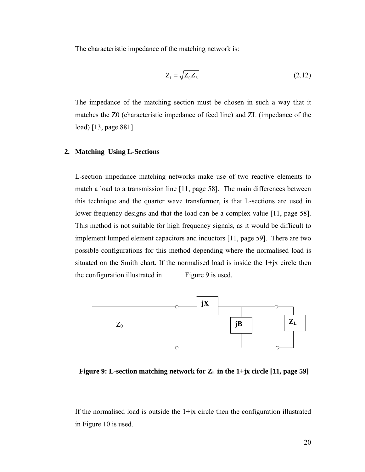<span id="page-29-0"></span>The characteristic impedance of the matching network is:

$$
Z_1 = \sqrt{Z_0 Z_L} \tag{2.12}
$$

The impedance of the matching section must be chosen in such a way that it matches the Z0 (characteristic impedance of feed line) and ZL (impedance of the load) [\[13,](#page-27-0) page 881].

#### **2. Matching Using L-Sections**

L-section impedance matching networks make use of two reactive elements to match a load to a transmission line [\[11,](#page-20-1) page 58]. The main differences between this technique and the quarter wave transformer, is that L-sections are used in lower frequency designs and that the load can be a complex value [[11,](#page-20-1) page 58]. This method is not suitable for high frequency signals, as it would be difficult to implement lumped element capacitors and inductors [\[11,](#page-20-1) page 59]. There are two possible configurations for this method depending where the normalised load is situated on the Smith chart. If the normalised load is inside the 1+jx circle then the configuration illustrated i[n Figure 9](#page-29-1) is used.



<span id="page-29-1"></span> **Figure 9:** L-section matching network for  $Z_L$  in the 1+jx circle [\[11,](#page-20-1) page 59]

If the normalised load is outside the  $1+jx$  circle then the configuration illustrated in [Figure 10](#page-30-1) is used.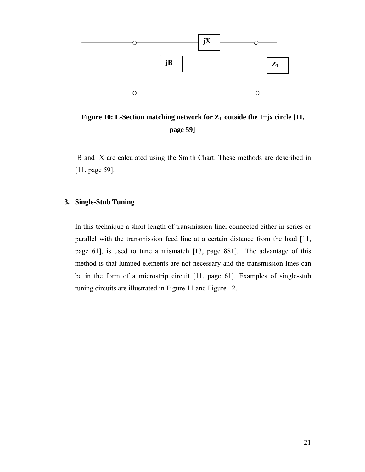<span id="page-30-0"></span>

<span id="page-30-1"></span>Figure 10: L-Section matching network for  $Z_L$  outside the 1+jx circle [\[11,](#page-20-1) **page 59]** 

jB and jX are calculated using the Smith Chart. These methods are described in [[11,](#page-20-1) page 59].

#### **3. Single-Stub Tuning**

In this technique a short length of transmission line, connected either in series or parallel with the transmission feed line at a certain distance from the load [\[11,](#page-20-1) page 61], is used to tune a mismatch [\[13,](#page-27-0) page 881]. The advantage of this method is that lumped elements are not necessary and the transmission lines can be in the form of a microstrip circuit [\[11,](#page-20-1) page 61]. Examples of single-stub tuning circuits are illustrated in [Figure 11](#page-31-1) and [Figure 12.](#page-31-2)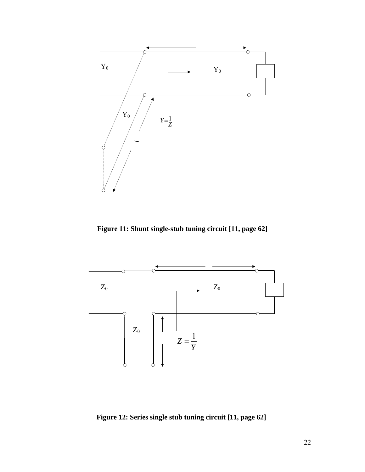<span id="page-31-0"></span>

<span id="page-31-1"></span>**Figure 11: Shunt single-stub tuning circuit [\[11,](#page-20-1) page 62]** 



<span id="page-31-2"></span>**Figure 12: Series single stub tuning circuit [\[11,](#page-20-1) page 62]**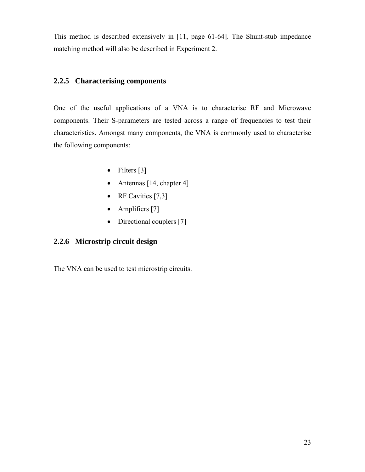<span id="page-32-0"></span>This method is described extensively in [\[11,](#page-20-1) page 61-64]. The Shunt-stub impedance matching meth od will also be described in [Experiment 2.](#page-51-1)

#### **2.2.5 Characterising components**

One of the useful applications of a VNA is to characterise RF and Microwave components. Their S-parameters are tested across a range of frequencies to test their characteristics. Amongst many components, the VNA is commonly used to characterise the following components:

- Filters [\[3\]](#page-11-1)
- Antennas [[14,](#page-64-12) chapter 4]
- RF Cavities [\[7,](#page-17-3)[3\]](#page-11-1)
- Amplifiers [\[7\]](#page-17-3)
- Directional couplers [\[7\]](#page-17-3)

#### **2.2.6 Microstri i p c rcuit design**

The VNA can be used to test microstrip circuits.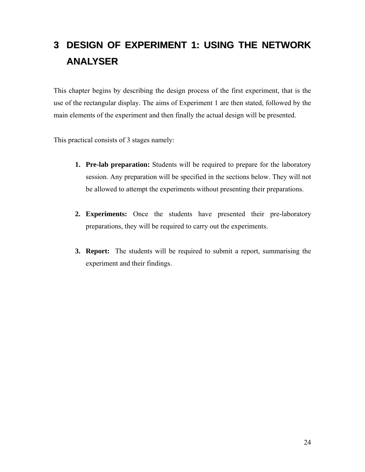# <span id="page-33-1"></span><span id="page-33-0"></span>**3 DESIGN OF EXPERIMENT 1: USING THE NETWORK ANALYSER**

This chapter begins by describing the design process of the first experiment, that is the use of the rectangular display. The aims of Experiment 1 are then stated, followed by the main elements of the experiment and then finally the actual design will be presented.

This practical consists of 3 stages namely:

- **1. Pre-lab preparation:** Students will be required to prepare for the laboratory session. Any preparation will be specified in the sections below. They will not be allowed to attempt the experiments without presenting their preparations.
- **2. Experiments:** Once the students have presented their pre-laboratory preparations, they will be required to carry out the experiments.
- **3. Report:** The students will be required to submit a report, summarising the experiment and their findings.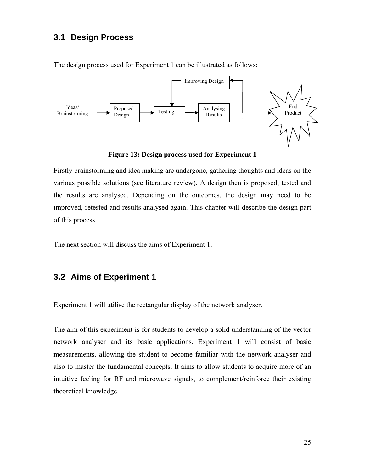### <span id="page-34-0"></span>**3.1 Design Process**

The design process used for Experiment 1 can be illustrated as follows:



**Figure 13: Design process used for Experiment 1** 

Firstly brainstorming and idea making are undergone, gathering thoughts and ideas on the various possible solutions (see literature review). A design then is proposed, tested and the results are analysed. Depending on the outcomes, the design may need to be improved, retested and results analysed again. This chapter will describe the design part of this process.

The next section will discuss the aims of Experiment 1.

# **3.2 Aims of Experiment 1**

Experiment 1 will utilise the rectangular display of the network analyser.

The aim of this experiment is for students to develop a solid understanding of the vector network analyser and its basic applications. Experiment 1 will consist of basic measurements, allowing the student to become familiar with the network analyser and also to master the fundamental concepts. It aims to allow students to acquire more of an intuitive feeling for RF and microwave signals, to complement/reinforce their existing theoretical knowledge.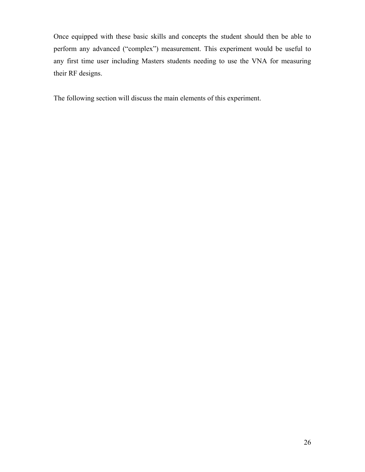Once equipped with these basic skills and concepts the student should then be able to perform any advanced ("complex") measurement. This experiment would be useful to any first time user including Masters students needing to use the VNA for measuring their RF designs.

The following section will discuss the main elements of this experiment.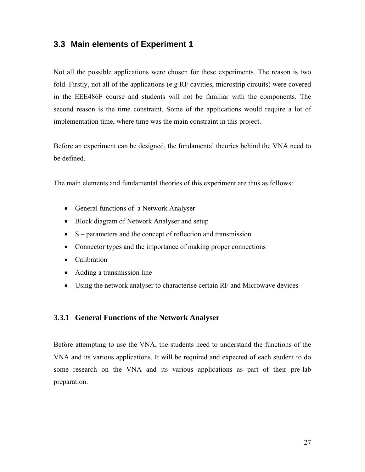### <span id="page-36-0"></span>**3.3 Main elements of Experiment 1**

Not all the possible applications were chosen for these experiments. The reason is two fold. Firstly, not all of the applications (e.g RF cavities, microstrip circuits) were covered in the EEE486F course and students will not be familiar with the components. The second reason is the time constraint. Some of the applications would require a lot of implementation time, where time was the main constraint in this project.

Before an experiment can be designed, the fundamental theories behind the VNA need to be defined.

The main elements and fundamental theories of this experiment are thus as follows:

- General functions of a Network Analyser
- Block diagram of Network Analyser and setup
- S parameters and the concept of reflection and transmission
- Connector types and the importance of making proper connections
- Calibration
- Adding a transmission line
- Using the network analyser to characterise certain RF and Microwave devices

#### **3.3.1 General Functions of the Network Analyser**

Before attempting to use the VNA, the students need to understand the functions of the VNA and its various applications. It will be required and expected of each student to do some research on the VNA and its various applications as part of their pre-lab preparation.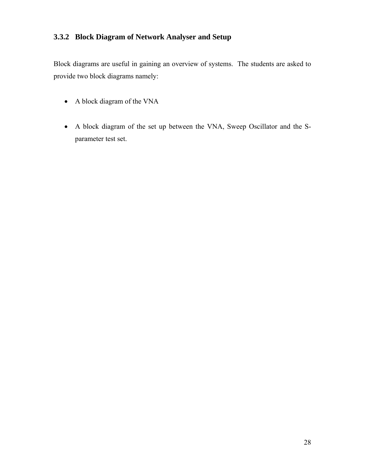### <span id="page-37-0"></span>**3.3.2 Block Diagram of Network Analyser and Setup**

Block diagrams are useful in gaining an overview of systems. The students are asked to provide two block diagrams namely:

- A block diagram of the VNA
- A block diagram of the set up between the VNA, Sweep Oscillator and the Sparameter test set.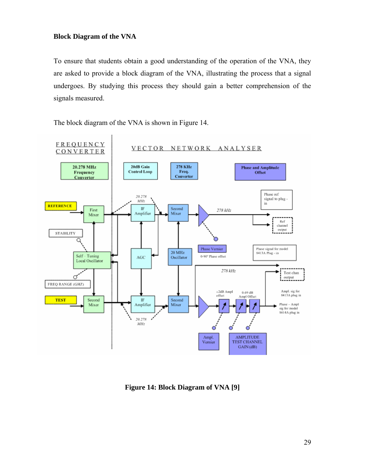#### <span id="page-38-0"></span>**Block Diagram of the VNA**

To ensure that students obtain a good understanding of the operation of the VNA, they are asked to provide a block diagram of the VNA, illustrating the process that a signal undergoes. By studying this process they should gain a better comprehension of the signals measured.

**FREQUENCY** VECTOR NETWORK ANALYSER CONVERTER 20dB Gain 278 KHz 20.278 MHz **Phase and Amplitude Control Loop** Freq. Offset Frequency Converter Converter Phase ref 20.278 signal to plug- $MHz$ in **REFERENCE**  $\mathbb{IF}$ Second First 278 kHz Mixer Amplifier Mixer Ref channel output **STABILITY** О Phase Vernier Phase signal for model 20 MHz 8413A Plug - in Self - Tuning<br>Local Oscillator 0-90° Phase offset AGC Oscillator 278 kHz Test chan ď  $\frac{1}{2}$  output ÷. FREQ RANGE (GHZ) Ampl. sig for ±2dB Ampl  $0.69\ \mathrm{dB}$ offset 8413A plug in Ampl Offset Second Second IF **TEST** Amplifier Mixer Phase - Ampl Mixer sig for model 8414A plug in 20.278  $MHz$ ď C Ampl. **AMPLITUDE TEST CHANNEL** Vemier  $GAIN(dB)$ 

The block diagram of the VNA is shown in [Figure 14.](#page-38-1)

<span id="page-38-1"></span>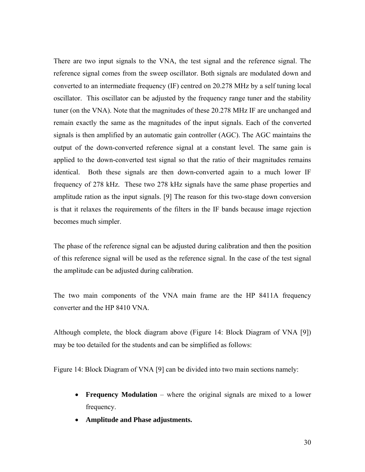There are two input signals to the VNA, the test signal and the reference signal. The reference signal comes from the sweep oscillator. Both signals are modulated down and converted to an intermediate frequency (IF) centred on 20.278 MHz by a self tuning local oscillator. This oscillator can be adjusted by the frequency range tuner and the stability tuner (on the VNA). Note that the magnitudes of these 20.278 MHz IF are unchanged and remain exactly the same as the magnitudes of the input signals. Each of the converted signals is then amplified by an automatic gain controller (AGC). The AGC maintains the output of the down-converted reference signal at a constant level. The same gain is applied to the down-converted test signal so that the ratio of their magnitudes remains identical. Both these signals are then down-converted again to a much lower IF frequency of 278 kHz. These two 278 kHz signals have the same phase properties and amplitude ration as the input signals. [\[9\]](#page-17-4) The reason for this two-stage down conversion is that it relaxes the requirements of the filters in the IF bands because image rejection becomes much simpler.

The phase of the reference signal can be adjusted during calibration and then the position of this reference signal will be used as the reference signal. In the case of the test signal the amplitude can be adjusted during calibration.

The two main components of the VNA main frame are the HP 8411A frequency converter and the HP 8410 VNA.

Although complete, the block diagram above [\(Figure 14: Block Diagram of VNA \[9\]\)](#page-38-1) may be too detailed for the students and can be simplified as follows:

[Figure 14: Block Diagram of VNA \[9\]](#page-38-1) can be divided into two main sections namely:

- **Frequency Modulation** where the original signals are mixed to a lower frequency.
- **Amplitude and Phase adjustments.**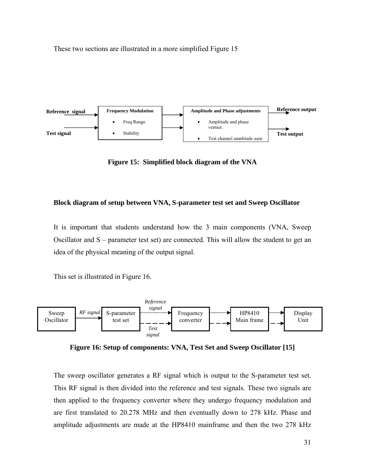<span id="page-40-0"></span>These two sections are illustrated in a more simplified [Figure 15](#page-40-1) 



<span id="page-40-1"></span>**Figure 15: Simplified block diagram of the VNA** 

#### **Block diagram of setup between VNA, S-parameter test set and Sweep Oscillator**

It is important that students understand how the 3 main components (VNA, Sweep Oscillator and S – parameter test set) are connected. This will allow the student to get an idea of the physical meaning of the output signal.

This set is illustrated in [Figure 16.](#page-40-2)



<span id="page-40-2"></span>**Figure 16: Setup of components: VNA, Test Set and Sweep Oscillator [[15\]](#page-41-1)** 

The sweep oscillator generates a RF signal which is output to the S-parameter test set. This RF signal is then divided into the reference and test signals. These two signals are then applied to the frequency converter where they undergo frequency modulation and are first translated to 20.278 MHz and then eventually down to 278 kHz. Phase and amplitude adjustments are made at the HP8410 mainframe and then the two 278 kHz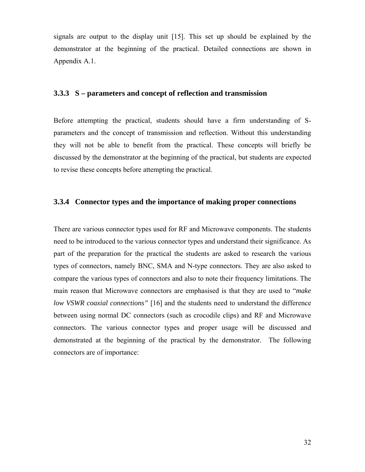<span id="page-41-1"></span><span id="page-41-0"></span>signals are output to the display unit [[15\]](#page-64-13). This set up should be explained by the demonstrator at the beginning of the practical. Detailed connections are shown in Appendix A.1.

#### **3.3.3 S – parameters and concept of reflection and transmission**

Before attempting the practical, students should have a firm understanding of Sparameters and the concept of transmission and reflection. Without this understanding they will not be able to benefit from the practical. These concepts will briefly be discussed by the demonstrator at the beginning of the practical, but students are expected to revise these concepts before attempting the practical.

#### **3.3.4 Connector types and the importance of making proper connections**

<span id="page-41-2"></span>There are various connector types used for RF and Microwave components. The students need to be introduced to the various connector types and understand their significance. As part of the preparation for the practical the students are asked to research the various types of connectors, namely BNC, SMA and N-type connectors. They are also asked to compare the various types of connectors and also to note their frequency limitations. The main reason that Microwave connectors are emphasised is that they are used to "*make low VSWR coaxial connections"* [[16\]](#page-64-14) and the students need to understand the difference between using normal DC connectors (such as crocodile clips) and RF and Microwave connectors. The various connector types and proper usage will be discussed and demonstrated at the beginning of the practical by the demonstrator. The following connectors are of importance: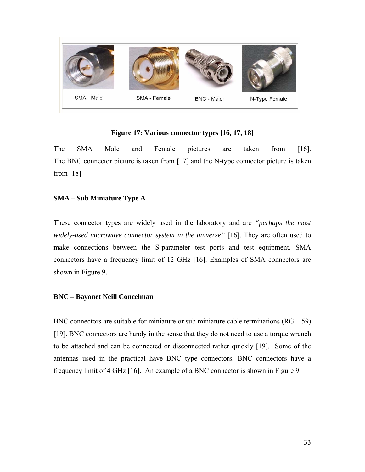<span id="page-42-0"></span>

#### <span id="page-42-1"></span>**Figure 17: Various connector types [[16,](#page-41-2) [17,](#page-42-1) [18\]](#page-42-2)**

<span id="page-42-2"></span>The SMA Male and Female pictures are taken from [\[16\]](#page-41-2). The BNC connector picture is taken from [[17\]](#page-64-15) and the N-type connector picture is taken from [\[18\]](#page-64-16)

#### **SMA – Sub Miniature Type A**

These connector types are widely used in the laboratory and are *"perhaps the most widely-used microwave connector system in the universe"* [[16\]](#page-41-2). They are often used to make connections between the S-parameter test ports and test equipment. SMA connectors have a frequency limit of 12 GHz [\[16\]](#page-41-2). Examples of SMA connectors are shown in Figure 9.

#### **BNC – Bayonet Neill Concelman**

<span id="page-42-3"></span>BNC connectors are suitable for miniature or sub miniature cable terminations  $(RG - 59)$ [[19\]](#page-42-3). BNC connectors are handy in the sense that they do not need to use a torque wrench to be attached and can be connected or disconnected rather quickly [[19\]](#page-64-9). Some of the antennas used in the practical have BNC type connectors. BNC connectors have a frequency limit of 4 GHz [\[16\]](#page-41-2). An example of a BNC connector is shown in Figure 9.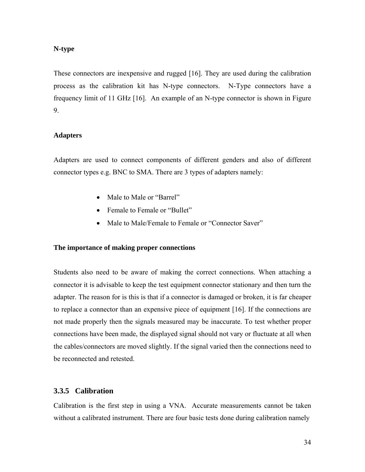#### <span id="page-43-0"></span>**N-type**

These connectors are inexpensive and rugged [\[16\]](#page-41-2). They are used during the calibration process as the calibration kit has N-type connectors. N-Type connectors have a frequency limit of 11 GHz [[16\]](#page-41-2). An example of an N-type connector is shown in Figure 9.

#### **Adapters**

Adapters are used to connect components of different genders and also of different connector types e.g. BNC to SMA. There are 3 types of adapters namely:

- Male to Male or "Barrel"
- Female to Female or "Bullet"
- Male to Male/Female to Female or "Connector Saver"

#### **The importance of making proper connections**

Students also need to be aware of making the correct connections. When attaching a connector it is advisable to keep the test equipment connector stationary and then turn the adapter. The reason for is this is that if a connector is damaged or broken, it is far cheaper to replace a connector than an expensive piece of equipment [\[16\]](#page-41-2). If the connections are not made properly then the signals measured may be inaccurate. To test whether proper connections have been made, the displayed signal should not vary or fluctuate at all when the cables/connectors are moved slightly. If the signal varied then the connections need to be reconnected and retested.

#### <span id="page-43-1"></span>**3.3.5 Calibration**

Calibration is the first step in using a VNA. Accurate measurements cannot be taken without a calibrated instrument. There are four basic tests done during calibration namely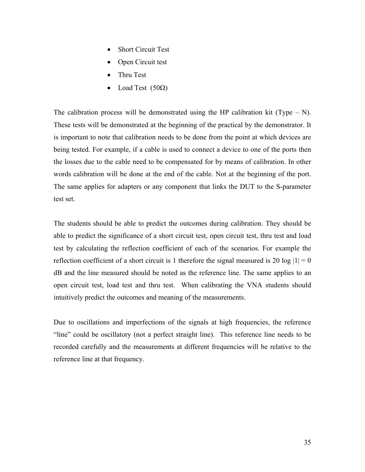- **Short Circuit Test**
- Open Circuit test
- Thru Test
- Load Test  $(50\Omega)$

The calibration process will be demonstrated using the HP calibration kit (Type  $- N$ ). These tests will be demonstrated at the beginning of the practical by the demonstrator. It is important to note that calibration needs to be done from the point at which devices are being tested. For example, if a cable is used to connect a device to one of the ports then the losses due to the cable need to be compensated for by means of calibration. In other words calibration will be done at the end of the cable. Not at the beginning of the port. The same applies for adapters or any component that links the DUT to the S-parameter test set.

The students should be able to predict the outcomes during calibration. They should be able to predict the significance of a short circuit test, open circuit test, thru test and load test by calculating the reflection coefficient of each of the scenarios. For example the reflection coefficient of a short circuit is 1 therefore the signal measured is 20 log  $|1| = 0$ dB and the line measured should be noted as the reference line. The same applies to an open circuit test, load test and thru test. When calibrating the VNA students should intuitively predict the outcomes and meaning of the measurements.

Due to oscillations and imperfections of the signals at high frequencies, the reference "line" could be oscillatory (not a perfect straight line). This reference line needs to be recorded carefully and the measurements at different frequencies will be relative to the reference line at that frequency.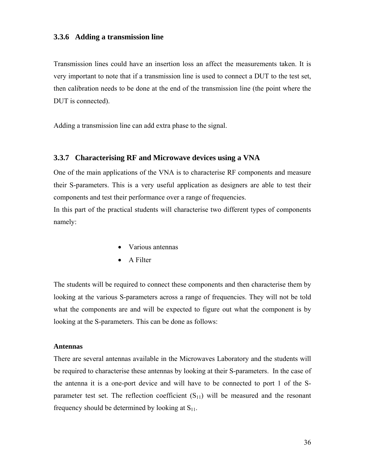#### <span id="page-45-0"></span>**3.3.6 Adding a transmission line**

Transmission lines could have an insertion loss an affect the measurements taken. It is very important to note that if a transmission line is used to connect a DUT to the test set, then calibration needs to be done at the end of the transmission line (the point where the DUT is connected).

Adding a transmission line can add extra phase to the signal.

#### **3.3.7 Characterising RF and Microwave devices using a VNA**

One of the main applications of the VNA is to characterise RF components and measure their S-parameters. This is a very useful application as designers are able to test their components and test their performance over a range of frequencies.

In this part of the practical students will characterise two different types of components namely:

- Various antennas
- A Filter

The students will be required to connect these components and then characterise them by looking at the various S-parameters across a range of frequencies. They will not be told what the components are and will be expected to figure out what the component is by looking at the S-parameters. This can be done as follows:

#### **Antennas**

There are several antennas available in the Microwaves Laboratory and the students will be required to characterise these antennas by looking at their S-parameters. In the case of the antenna it is a one-port device and will have to be connected to port 1 of the Sparameter test set. The reflection coefficient  $(S_{11})$  will be measured and the resonant frequency should be determined by looking at  $S_{11}$ .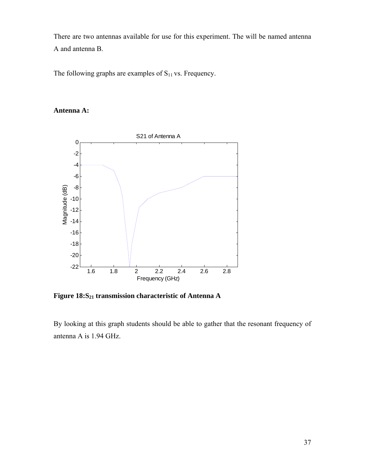There are two antennas available for use for this experiment. The will be named antenna A and antenna B.

The following graphs are examples of  $S<sub>11</sub>$  vs. Frequency.

### **Antenna A:**



Figure 18:S<sub>21</sub> transmission characteristic of Antenna A

By looking at this graph students should be able to gather that the resonant frequency of antenna A is 1.94 GHz.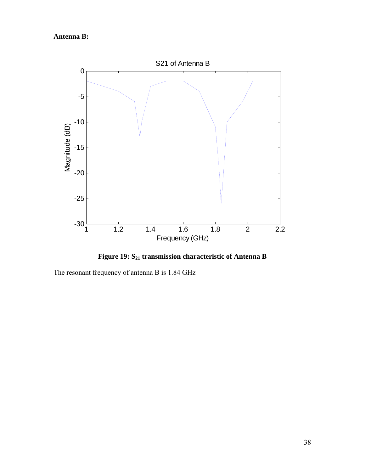# **Antenna B:**



Figure 19: S<sub>21</sub> transmission characteristic of Antenna B

The resonant frequency of antenna B is 1.84 GHz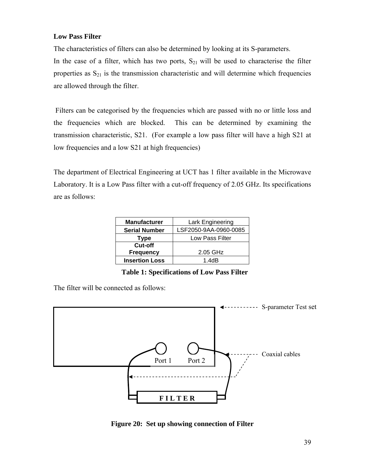#### <span id="page-48-0"></span>**Low Pass Filter**

The characteristics of filters can also be determined by looking at its S-parameters.

In the case of a filter, which has two ports,  $S_{21}$  will be used to characterise the filter properties as  $S_{21}$  is the transmission characteristic and will determine which frequencies are allowed through the filter.

Filters can be categorised by the frequencies which are passed with no or little loss and the frequencies which are blocked. This can be determined by examining the transmission characteristic, S21. (For example a low pass filter will have a high S21 at low frequencies and a low S21 at high frequencies)

The department of Electrical Engineering at UCT has 1 filter available in the Microwave Laboratory. It is a Low Pass filter with a cut-off frequency of 2.05 GHz. Its specifications are as follows:

| <b>Manufacturer</b>   | Lark Engineering      |
|-----------------------|-----------------------|
| <b>Serial Number</b>  | LSF2050-9AA-0960-0085 |
| Type                  | Low Pass Filter       |
| Cut-off               |                       |
| <b>Frequency</b>      | 2.05 GHz              |
| <b>Insertion Loss</b> | 1.4dB                 |

 **Table 1: Specifications of Low Pass Filter** 

The filter will be connected as follows:



**Figure 20: Set up showing connection of Filter**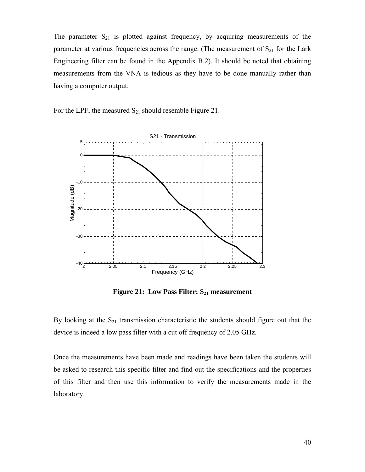<span id="page-49-0"></span>The parameter  $S_{21}$  is plotted against frequency, by acquiring measurements of the parameter at various frequencies across the range. (The measurement of  $S_{21}$  for the Lark Engineering filter can be found in the Appendix B.2). It should be noted that obtaining measurements from the VNA is tedious as they have to be done manually rather than having a computer output.

For the LPF, the measured  $S_{21}$  should resemble [Figure 21.](#page-49-1)

<span id="page-49-1"></span>

**Figure 21: Low Pass Filter: S<sub>21</sub> measurement** 

By looking at the  $S_{21}$  transmission characteristic the students should figure out that the device is indeed a low pass filter with a cut off frequency of 2.05 GHz.

Once the measurements have been made and readings have been taken the students will be asked to research this specific filter and find out the specifications and the properties of this filter and then use this information to verify the measurements made in the laboratory.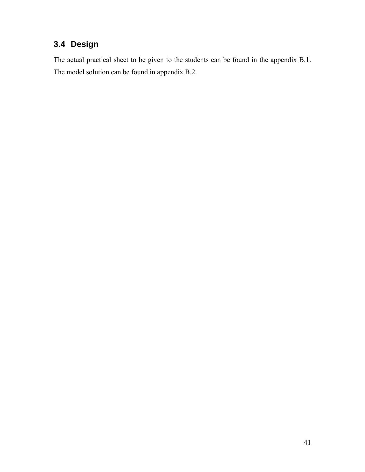# <span id="page-50-0"></span>**3.4 Design**

The actual practical sheet to be given to the students can be found in the appendix B.1. The model solution can be found in appendix B.2.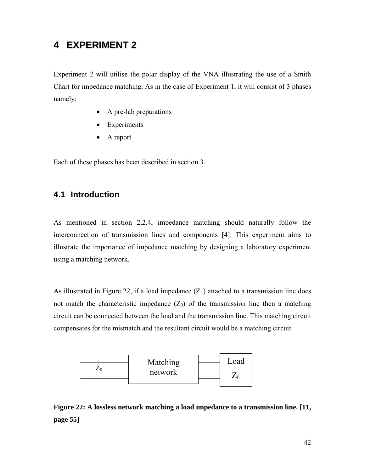# <span id="page-51-1"></span><span id="page-51-0"></span>**4 EXPERIMENT 2**

Experiment 2 will utilise the polar display of the VNA illustrating the use of a Smith Chart for impedance matching. As in the case of Experiment 1, it will consist of 3 phases namely:

- A pre-lab preparations
- Experiments
- A report

Each of these phases has been described in section [3.](#page-33-1)

### **4.1 Introduction**

As mentioned in section [2.2.4,](#page-26-3) impedance matching should naturally follow the interconnection of transmission lines and components [[4\]](#page-11-2). This experiment aims to illustrate the importance of impedance matching by designing a laboratory experiment using a matching network.

As illustrated in [Figure 22,](#page-51-2) if a load impedance  $(Z_L)$  attached to a transmission line does not match the characteristic impedance  $(Z_0)$  of the transmission line then a matching circuit can be connected between the load and the transmission line. This matching circuit compensates for the mismatch and the resultant circuit would be a matching circuit.



<span id="page-51-2"></span>**Figure 22: A lossless network matching a load impedance to a transmission line. [[11,](#page-20-1) page 55]**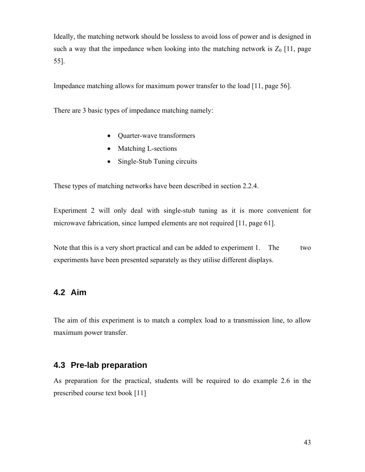<span id="page-52-0"></span>Ideally, the matching network should be lossless to avoid loss of power and is designed in such a way that the impedance when looking into the matching network is  $Z_0$  [\[11,](#page-20-1) page 55].

Impedance matching allows for maximum power transfer to the load [\[11,](#page-20-1) page 56].

There are 3 basic types of impedance matching namely:

- Quarter-wave transformers
- Matching L-sections
- Single-Stub Tuning circuits

These types of matching networks have been described in section [2.2.4.](#page-26-3)

Experiment 2 will only deal with single-stub tuning as it is more convenient for microwave fabrication, since lumped elements are not required [\[11,](#page-20-1) page 61].

Note that this is a very short practical and can be added to experiment 1. The two experiments have been presented separately as they utilise different displays.

### **4.2 Aim**

The aim of this experiment is to match a complex load to a transmission line, to allow maximum power transfer.

### **4.3 Pre-lab preparation**

As preparation for the practical, students will be required to do example 2.6 in the prescribed course text book [\[11\]](#page-20-1)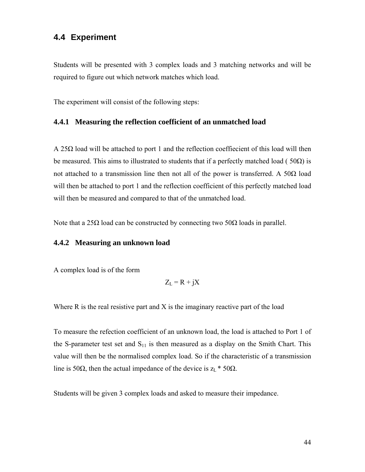### <span id="page-53-0"></span>**4.4 Experiment**

Students will be presented with 3 complex loads and 3 matching networks and will be required to figure out which network matches which load.

The experiment will consist of the following steps:

#### **4.4.1 Measuring the reflection coefficient of an unmatched load**

A 25Ω load will be attached to port 1 and the reflection coeffiecient of this load will then be measured. This aims to illustrated to students that if a perfectly matched load ( $50\Omega$ ) is not attached to a transmission line then not all of the power is transferred. A 50Ω load will then be attached to port 1 and the reflection coefficient of this perfectly matched load will then be measured and compared to that of the unmatched load.

Note that a 25Ω load can be constructed by connecting two 50Ω loads in parallel.

#### **4.4.2 Measuring an unknown load**

A complex load is of the form

$$
Z_{L} = R + jX
$$

Where  $R$  is the real resistive part and  $X$  is the imaginary reactive part of the load

To measure the refection coefficient of an unknown load, the load is attached to Port 1 of the S-parameter test set and  $S_{11}$  is then measured as a display on the Smith Chart. This value will then be the normalised complex load. So if the characteristic of a transmission line is 50 $\Omega$ , then the actual impedance of the device is  $z_L * 50\Omega$ .

Students will be given 3 complex loads and asked to measure their impedance.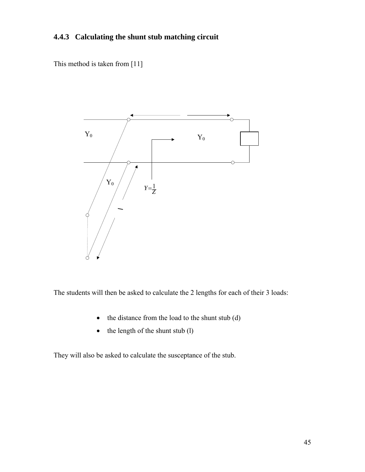### <span id="page-54-0"></span>**4.4.3 Calculating the shunt stub matching circuit**

This method is taken from [\[11\]](#page-20-1)



The students will then be asked to calculate the 2 lengths for each of their 3 loads:

- the distance from the load to the shunt stub (d)
- the length of the shunt stub (l)

They will also be asked to calculate the susceptance of the stub.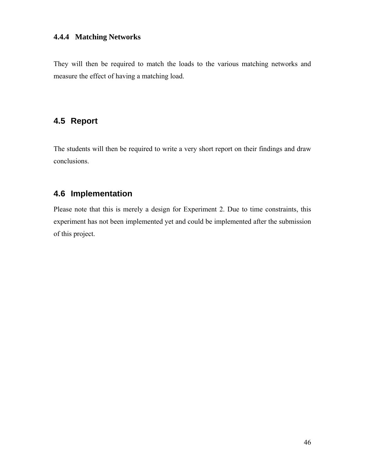#### <span id="page-55-0"></span>**4.4.4 Matching Networks**

They will then be required to match the loads to the various matching networks and measure the effect of having a matching load.

# **4.5 Report**

The students will then be required to write a very short report on their findings and draw conclusions.

# **4.6 Implementation**

Please note that this is merely a design for Experiment 2. Due to time constraints, this experiment has not been implemented yet and could be implemented after the submission of this project.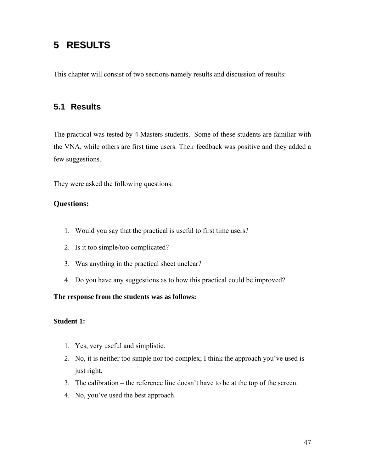# <span id="page-56-0"></span>**5 RESULTS**

This chapter will consist of two sections namely results and discussion of results:

# **5.1 Results**

The practical was tested by 4 Masters students. Some of these students are familiar with the VNA, while others are first time users. Their feedback was positive and they added a few suggestions.

They were asked the following questions:

#### **Questions:**

- 1. Would you say that the practical is useful to first time users?
- 2. Is it too simple/too complicated?
- 3. Was anything in the practical sheet unclear?
- 4. Do you have any suggestions as to how this practical could be improved?

#### **The response from the students was as follows:**

#### **Student 1:**

- 1. Yes, very useful and simplistic.
- 2. No, it is neither too simple nor too complex; I think the approach you've used is just right.
- 3. The calibration the reference line doesn't have to be at the top of the screen.
- 4. No, you've used the best approach.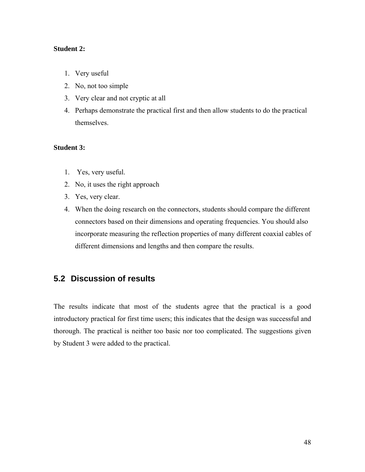#### <span id="page-57-0"></span>**Student 2:**

- 1. Very useful
- 2. No, not too simple
- 3. Very clear and not cryptic at all
- 4. Perhaps demonstrate the practical first and then allow students to do the practical themselves.

#### **Student 3:**

- 1. Yes, very useful.
- 2. No, it uses the right approach
- 3. Yes, very clear.
- 4. When the doing research on the connectors, students should compare the different connectors based on their dimensions and operating frequencies. You should also incorporate measuring the reflection properties of many different coaxial cables of different dimensions and lengths and then compare the results.

### **5.2 Discussion of results**

The results indicate that most of the students agree that the practical is a good introductory practical for first time users; this indicates that the design was successful and thorough. The practical is neither too basic nor too complicated. The suggestions given by Student 3 were added to the practical.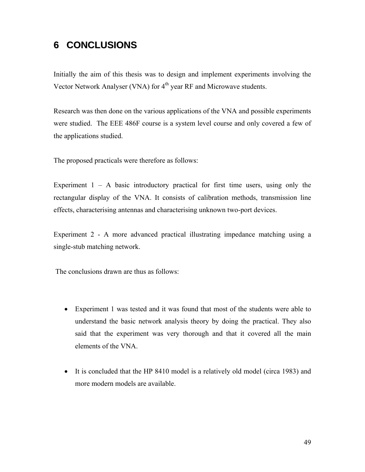# <span id="page-58-0"></span>**6 CONCLUSIONS**

Initially the aim of this thesis was to design and implement experiments involving the Vector Network Analyser (VNA) for 4<sup>th</sup> year RF and Microwave students.

Research was then done on the various applications of the VNA and possible experiments were studied. The EEE 486F course is a system level course and only covered a few of the applications studied.

The proposed practicals were therefore as follows:

Experiment  $1 - A$  basic introductory practical for first time users, using only the rectangular display of the VNA. It consists of calibration methods, transmission line effects, characterising antennas and characterising unknown two-port devices.

Experiment 2 - A more advanced practical illustrating impedance matching using a single-stub matching network.

The conclusions drawn are thus as follows:

- Experiment 1 was tested and it was found that most of the students were able to understand the basic network analysis theory by doing the practical. They also said that the experiment was very thorough and that it covered all the main elements of the VNA.
- It is concluded that the HP 8410 model is a relatively old model (circa 1983) and more modern models are available.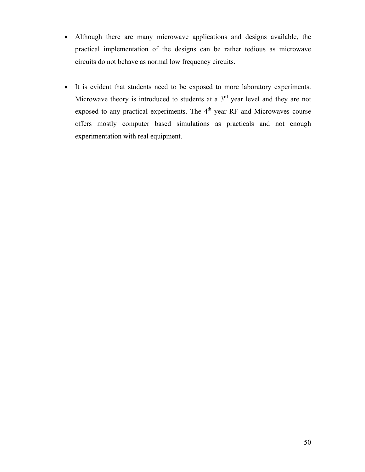- Although there are many microwave applications and designs available, the practical implementation of the designs can be rather tedious as microwave circuits do not behave as normal low frequency circuits.
- It is evident that students need to be exposed to more laboratory experiments. Microwave theory is introduced to students at a  $3<sup>rd</sup>$  year level and they are not exposed to any practical experiments. The  $4<sup>th</sup>$  year RF and Microwaves course offers mostly computer based simulations as practicals and not enough experimentation with real equipment.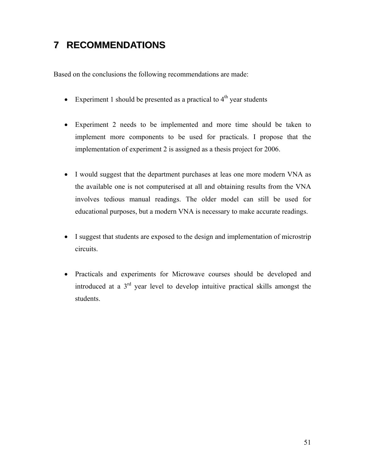# <span id="page-60-0"></span>**7 RECOMMENDATIONS**

Based on the conclusions the following recommendations are made:

- Experiment 1 should be presented as a practical to  $4<sup>th</sup>$  year students
- Experiment 2 needs to be implemented and more time should be taken to implement more components to be used for practicals. I propose that the implementation of experiment 2 is assigned as a thesis project for 2006.
- I would suggest that the department purchases at leas one more modern VNA as the available one is not computerised at all and obtaining results from the VNA involves tedious manual readings. The older model can still be used for educational purposes, but a modern VNA is necessary to make accurate readings.
- I suggest that students are exposed to the design and implementation of microstrip circuits.
- Practicals and experiments for Microwave courses should be developed and introduced at a 3rd year level to develop intuitive practical skills amongst the students.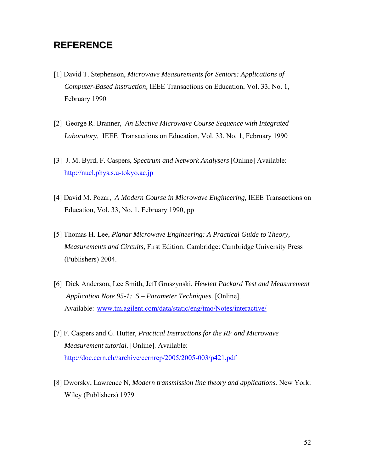# <span id="page-61-0"></span>**REFERENCE**

- [1] David T. Stephenson, *Microwave Measurements for Seniors: Applications of Computer-Based Instruction,* IEEE Transactions on Education, Vol. 33, No. 1, February 1990
- [2] George R. Branner, *An Elective Microwave Course Sequence with Integrated Laboratory,* IEEE Transactions on Education, Vol. 33, No. 1, February 1990
- [3] J. M. Byrd, F. Caspers, *Spectrum and Network Analysers* [Online] Available: [http://nucl.phys.s.u-tokyo.ac.jp](http://nucl.phys.s.u-tokyo.ac.jp/)
- [4] David M. Pozar, *A Modern Course in Microwave Engineering,* IEEE Transactions on Education, Vol. 33, No. 1, February 1990, pp
- [5] Thomas H. Lee, *Planar Microwave Engineering: A Practical Guide to Theory, Measurements and Circuits,* First Edition. Cambridge: Cambridge University Press (Publishers) 2004.
- [6] Dick Anderson, Lee Smith, Jeff Gruszynski, *Hewlett Packard Test and Measurement Application Note 95-1: S – Parameter Techniques.* [Online]. Available: [www.tm.agilent.com/data/static/eng/tmo/Notes/interactive/](http://www.tm.agilent.com/data/static/eng/tmo/Notes/interactive/)
- [7] F. Caspers and G. Hutter, *Practical Instructions for the RF and Microwave Measurement tutorial.* [Online]. Available: <http://doc.cern.ch//archive/cernrep/2005/2005-003/p421.pdf>
- [8] Dworsky, Lawrence N, *Modern transmission line theory and applications.* New York: Wiley (Publishers) 1979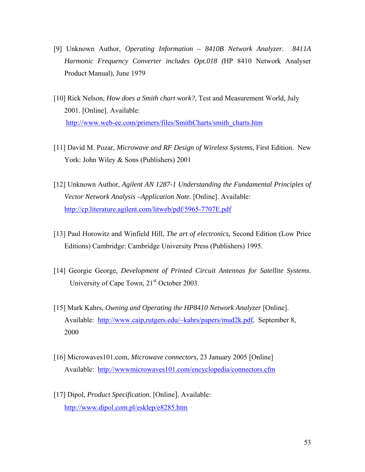- [9] Unknown Author, *Operating Information 8410B Network Analyzer. 8411A Harmonic Frequency Converter includes Opt.018 (*HP 8410 Network Analyser Product Manual), June 1979
- [10] Rick Nelson, *How does a Smith chart work?,* Test and Measurement World, July 2001. [Online]. Available: [http://www.web-ee.com/primers/files/SmithCharts/smith\\_charts.htm](http://www.web-ee.com/primers/files/SmithCharts/smith_charts.htm)
- [11] David M. Pozar, *Microwave and RF Design of Wireless Systems,* First Edition. New York: John Wiley & Sons (Publishers) 2001
- [12] Unknown Author, *Agilent AN 1287-1 Understanding the Fundamental Principles of Vector Network Analysis –Application Note.* [Online]. Available: <http://cp.literature.agilent.com/litweb/pdf/5965-7707E.pdf>
- [13] Paul Horowitz and Winfield Hill, *The art of electronics,* Second Edition (Low Price Editions) Cambridge: Cambridge University Press (Publishers) 1995.
- [14] Georgie George, *Development of Printed Circuit Antennas for Satellite Systems.*  University of Cape Town, 21<sup>st</sup> October 2003.
- [15] Mark Kahrs, *Owning and Operating the HP8410 Network Analyzer* [Online]. Available: <http://www.caip,rutgers.edu/~kahrs/papers/mud2k.pdf>, September 8, 2000
- [16] Microwaves101.com, *Microwave connectors,* 23 January 2005 [Online] Available: <http://wwwmicrowaves101.com/encyclopedia/connectors.cfm>
- [17] Dipol, *Product Specification.* [Online]. Available: <http://www.dipol.com.pl/esklep/e8285.htm>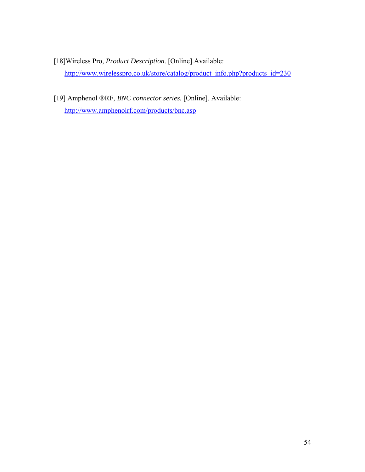- [18]Wireless Pro, *Product Description*. [Online].Available: [http://www.wirelesspro.co.uk/store/catalog/product\\_info.php?products\\_id=230](http://www.wirelesspro.co.uk/store/catalog/product_info.php?products_id=230)
- [19] Amphenol ®RF, *BNC connector series.* [Online]. Available: <http://www.amphenolrf.com/products/bnc.asp>